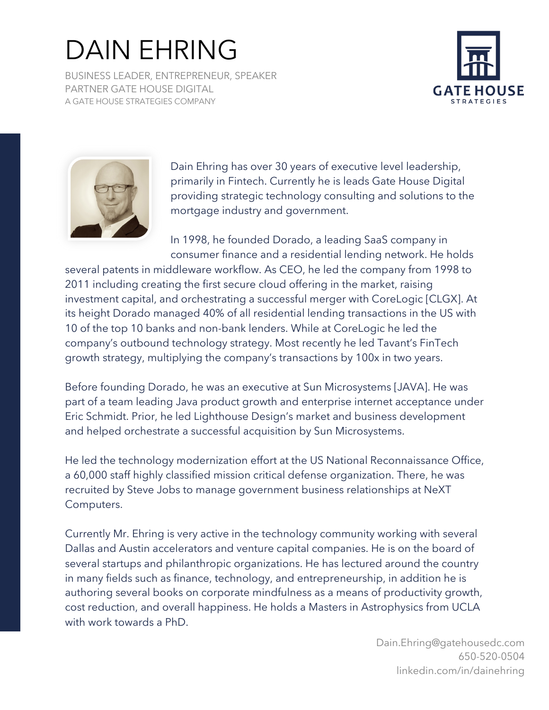## DAIN EHRING

BUSINESS LEADER, ENTREPRENEUR, SPEAKER PARTNER GATE HOUSE DIGITAL A GATE HOUSE STRATEGIES COMPANY





Dain Ehring has over 30 years of executive level leadership, primarily in Fintech. Currently he is leads Gate House Digital providing strategic technology consulting and solutions to the mortgage industry and government.

In 1998, he founded Dorado, a leading SaaS company in consumer finance and a residential lending network. He holds

several patents in middleware workflow. As CEO, he led the company from 1998 to 2011 including creating the first secure cloud offering in the market, raising investment capital, and orchestrating a successful merger with CoreLogic [CLGX]. At its height Dorado managed 40% of all residential lending transactions in the US with 10 of the top 10 banks and non-bank lenders. While at CoreLogic he led the company's outbound technology strategy. Most recently he led Tavant's FinTech growth strategy, multiplying the company's transactions by 100x in two years.

Before founding Dorado, he was an executive at Sun Microsystems [JAVA]. He was part of a team leading Java product growth and enterprise internet acceptance under Eric Schmidt. Prior, he led Lighthouse Design's market and business development and helped orchestrate a successful acquisition by Sun Microsystems.

He led the technology modernization effort at the US National Reconnaissance Office, a 60,000 staff highly classified mission critical defense organization. There, he was recruited by Steve Jobs to manage government business relationships at NeXT Computers.

Currently Mr. Ehring is very active in the technology community working with several Dallas and Austin accelerators and venture capital companies. He is on the board of several startups and philanthropic organizations. He has lectured around the country in many fields such as finance, technology, and entrepreneurship, in addition he is authoring several books on corporate mindfulness as a means of productivity growth, cost reduction, and overall happiness. He holds a Masters in Astrophysics from UCLA with work towards a PhD.